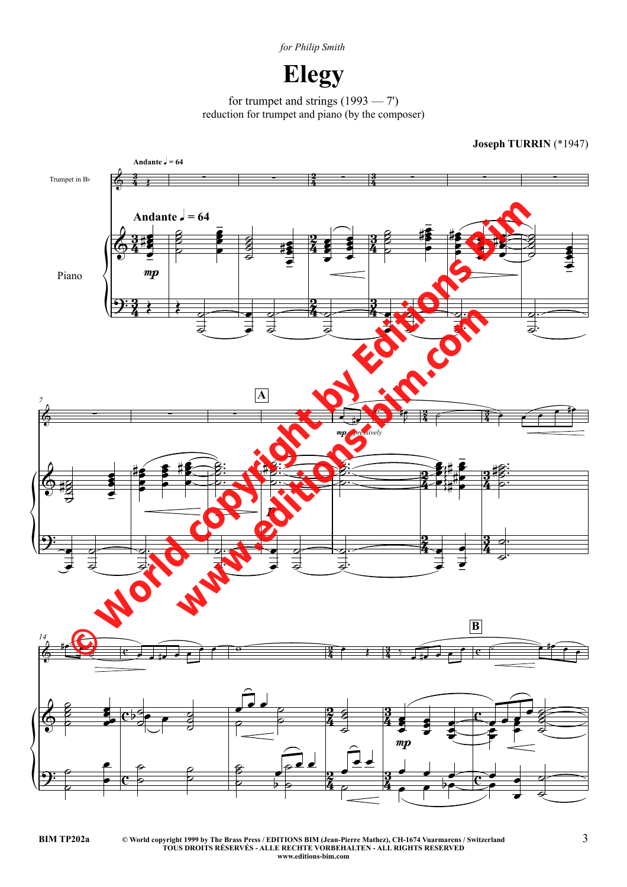



for trumpet and strings  $(1993 - 7)$ reduction for trumpet and piano (by the composer)

**Joseph TURRIN** (\*1947)



**© World copyright 1999 by The Brass Press / EDITIONS BIM (Jean-Pierre Mathez), CH-1674 Vuarmarens / Switzerland TOUS DROITS RÉSERVÉS - ALLE RECHTE VORBEHALTEN - ALL RIGHTS RESERVED BIM TP202a** 3 **www.editions-bim.com**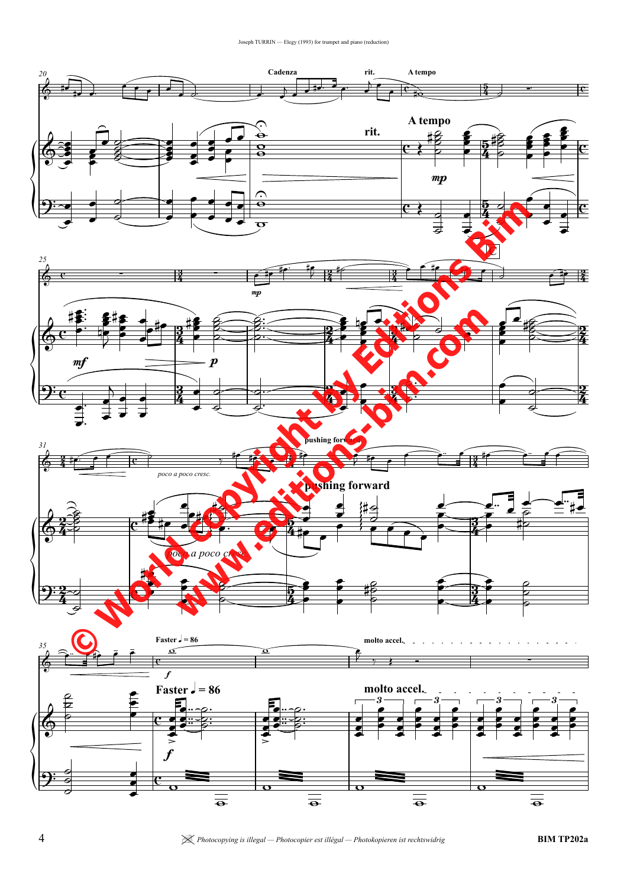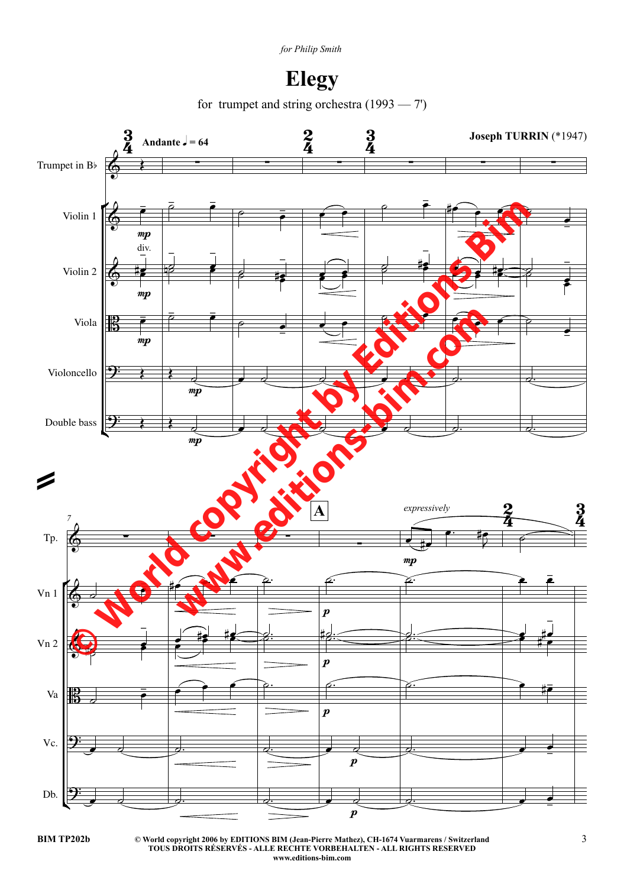## **Elegy**

for trumpet and string orchestra (1993 — 7')



**© World copyright 2006 by EDITIONS BIM (Jean-Pierre Mathez), CH-1674 Vuarmarens / Switzerland BIM TP202b** 3 **TOUS DROITS RÉSERVÉS - ALLE RECHTE VORBEHALTEN - ALL RIGHTS RESERVED www.editions-bim.com**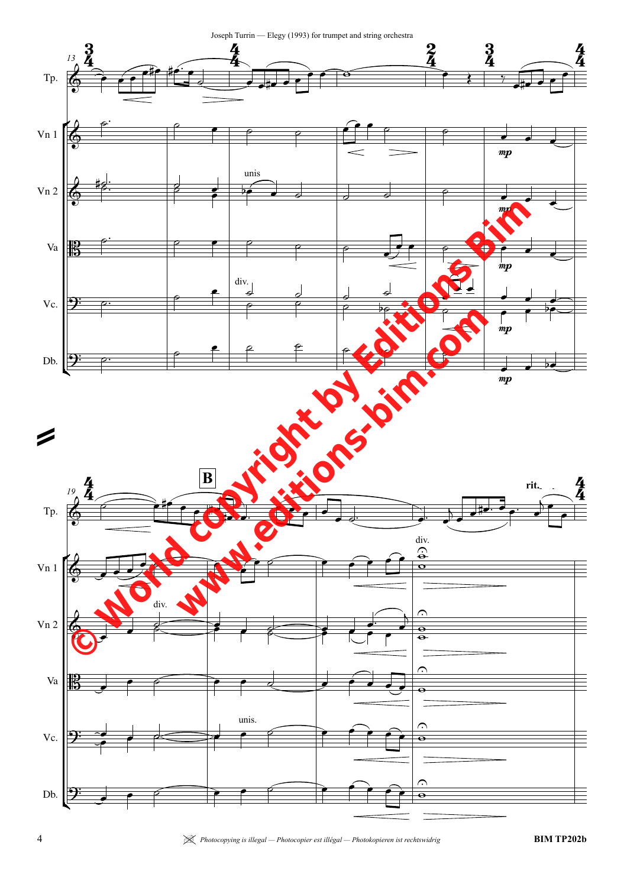Joseph Turrin — Elegy (1993) for trumpet and string orchestra

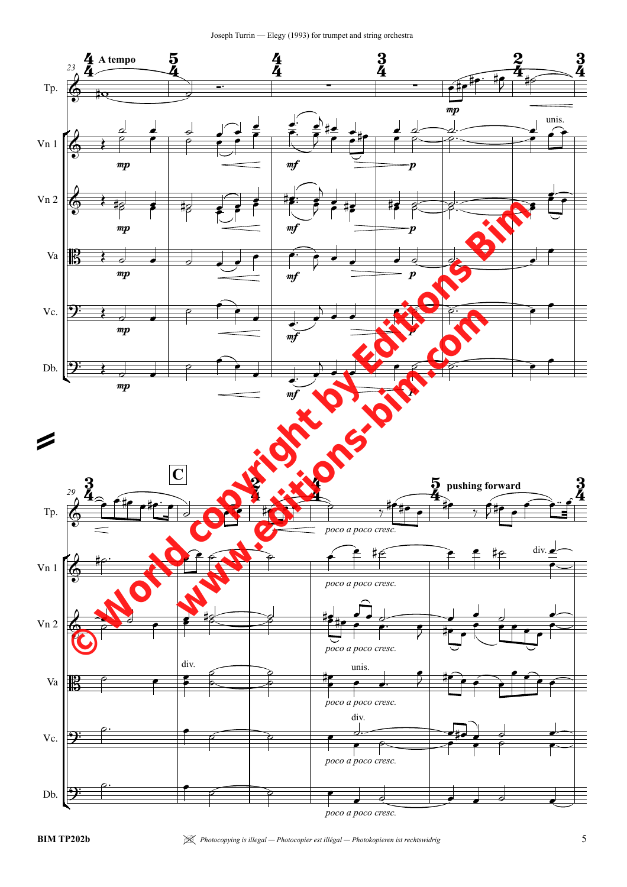